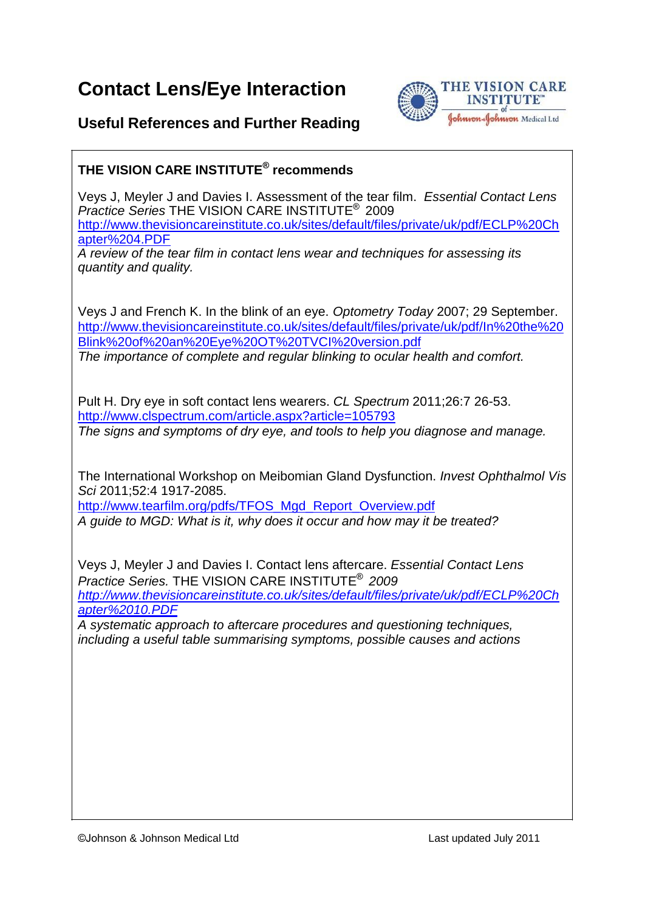# **Contact Lens/Eye Interaction**



## **Useful References and Further Reading**

### **THE VISION CARE INSTITUTE® recommends**

Veys J, Meyler J and Davies I. Assessment of the tear film. *Essential Contact Lens Practice Series* THE VISION CARE INSTITUTE ® 2009 <http://www.thevisioncareinstitute.co.uk/sites/default/files/private/uk/pdf/ECLP%20Ch> apter%204.PDF *A review of the tear film in contact lens wear and techniques for assessing its quantity and quality.*

Veys J and French K. In the blink of an eye. *Optometry Today* 2007; 29 September. [http://www.thevisioncareinstitute.co.uk/sites/default/files/private/uk/pdf/In%20the%20](http://www.thevisioncareinstitute.co.uk/sites/default/files/private/uk/pdf/In%20the%20Blink%20of%20an%20Eye%20OT%20TVCI%20version.pdf) [Blink%20of%20an%20Eye%20OT%20TVCI%20version.pdf](http://www.thevisioncareinstitute.co.uk/sites/default/files/private/uk/pdf/In%20the%20Blink%20of%20an%20Eye%20OT%20TVCI%20version.pdf) *The importance of complete and regular blinking to ocular health and comfort.*

Pult H. Dry eye in soft contact lens wearers. *CL Spectrum* 2011;26:7 26-53. <http://www.clspectrum.com/article.aspx?article=105793> *The signs and symptoms of dry eye, and tools to help you diagnose and manage.*

The International Workshop on Meibomian Gland Dysfunction. *Invest Ophthalmol Vis Sci* 2011;52:4 1917-2085.

[http://www.tearfilm.org/pdfs/TFOS\\_Mgd\\_Report\\_Overview.pdf](http://www.tearfilm.org/pdfs/TFOS_Mgd_Report_Overview.pdf) *A guide to MGD: What is it, why does it occur and how may it be treated?*

Veys J, Meyler J and Davies I. Contact lens aftercare. *Essential Contact Lens Practice Series.* THE VISION CARE INSTITUTE ® *2009 [http://www.thevisioncareinstitute.co.uk/sites/default/files/private/uk/pdf/ECLP%20Ch](http://www.thevisioncareinstitute.co.uk/sites/default/files/private/uk/pdf/ECLP%20Chapter%2010.PDF) [apter%2010.PDF](http://www.thevisioncareinstitute.co.uk/sites/default/files/private/uk/pdf/ECLP%20Chapter%2010.PDF)*

*A systematic approach to aftercare procedures and questioning techniques, including a useful table summarising symptoms, possible causes and actions*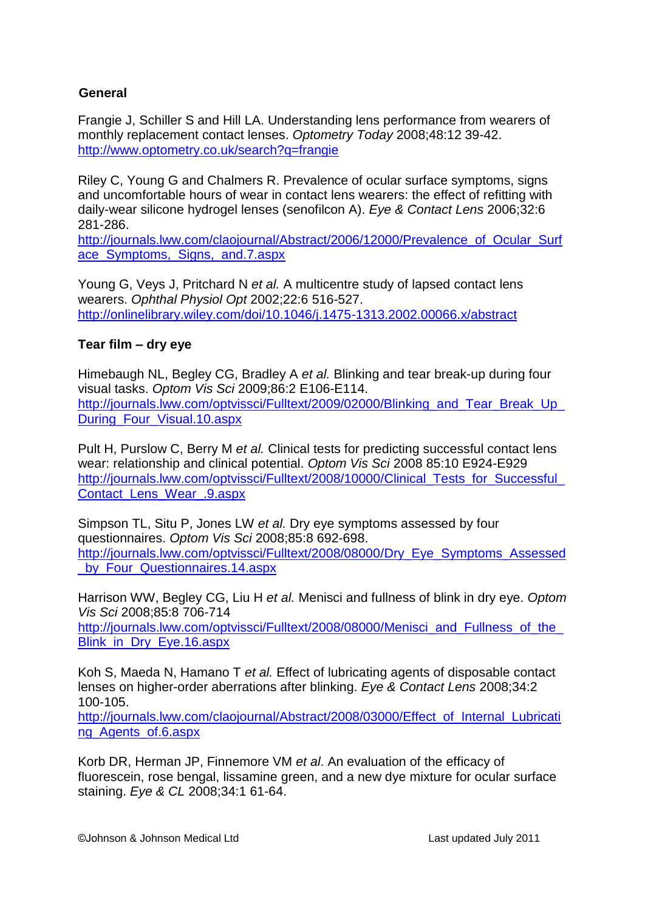#### **General**

Frangie J, Schiller S and Hill LA. Understanding lens performance from wearers of monthly replacement contact lenses. *Optometry Today* 2008;48:12 39-42. <http://www.optometry.co.uk/search?q=frangie>

Riley C, Young G and Chalmers R. Prevalence of ocular surface symptoms, signs and uncomfortable hours of wear in contact lens wearers: the effect of refitting with daily-wear silicone hydrogel lenses (senofilcon A). *Eye & Contact Lens* 2006;32:6 281-286.

[http://journals.lww.com/claojournal/Abstract/2006/12000/Prevalence\\_of\\_Ocular\\_Surf](http://journals.lww.com/claojournal/Abstract/2006/12000/Prevalence_of_Ocular_Surface_Symptoms,_Signs,_and.7.aspx) [ace\\_Symptoms,\\_Signs,\\_and.7.aspx](http://journals.lww.com/claojournal/Abstract/2006/12000/Prevalence_of_Ocular_Surface_Symptoms,_Signs,_and.7.aspx)

Young G, Veys J, Pritchard N *et al.* A multicentre study of lapsed contact lens wearers. *Ophthal Physiol Opt* 2002;22:6 516-527. <http://onlinelibrary.wiley.com/doi/10.1046/j.1475-1313.2002.00066.x/abstract>

#### **Tear film – dry eye**

Himebaugh NL, Begley CG, Bradley A *et al.* Blinking and tear break-up during four visual tasks. *Optom Vis Sci* 2009;86:2 E106-E114. [http://journals.lww.com/optvissci/Fulltext/2009/02000/Blinking\\_and\\_Tear\\_Break\\_Up\\_](http://journals.lww.com/optvissci/Fulltext/2009/02000/Blinking_and_Tear_Break_Up_During_Four_Visual.10.aspx) [During\\_Four\\_Visual.10.aspx](http://journals.lww.com/optvissci/Fulltext/2009/02000/Blinking_and_Tear_Break_Up_During_Four_Visual.10.aspx)

Pult H, Purslow C, Berry M *et al.* Clinical tests for predicting successful contact lens wear: relationship and clinical potential. *Optom Vis Sci* 2008 85:10 E924-E929 [http://journals.lww.com/optvissci/Fulltext/2008/10000/Clinical\\_Tests\\_for\\_Successful\\_](http://journals.lww.com/optvissci/Fulltext/2008/10000/Clinical_Tests_for_Successful_Contact_Lens_Wear_.9.aspx) [Contact\\_Lens\\_Wear\\_.9.aspx](http://journals.lww.com/optvissci/Fulltext/2008/10000/Clinical_Tests_for_Successful_Contact_Lens_Wear_.9.aspx)

Simpson TL, Situ P, Jones LW *et al.* Dry eye symptoms assessed by four questionnaires. *Optom Vis Sci* 2008;85:8 692-698. [http://journals.lww.com/optvissci/Fulltext/2008/08000/Dry\\_Eye\\_Symptoms\\_Assessed](http://journals.lww.com/optvissci/Fulltext/2008/08000/Dry_Eye_Symptoms_Assessed_by_Four_Questionnaires.14.aspx) by Four Questionnaires.14.aspx

Harrison WW, Begley CG, Liu H *et al.* Menisci and fullness of blink in dry eye. *Optom Vis Sci* 2008;85:8 706-714

http://journals.lww.com/optvissci/Fulltext/2008/08000/Menisci\_and\_Fullness\_of\_the [Blink\\_in\\_Dry\\_Eye.16.aspx](http://journals.lww.com/optvissci/Fulltext/2008/08000/Menisci_and_Fullness_of_the_Blink_in_Dry_Eye.16.aspx)

Koh S, Maeda N, Hamano T *et al.* Effect of lubricating agents of disposable contact lenses on higher-order aberrations after blinking. *Eye & Contact Lens* 2008;34:2 100-105.

[http://journals.lww.com/claojournal/Abstract/2008/03000/Effect\\_of\\_Internal\\_Lubricati](http://journals.lww.com/claojournal/Abstract/2008/03000/Effect_of_Internal_Lubricating_Agents_of.6.aspx) [ng\\_Agents\\_of.6.aspx](http://journals.lww.com/claojournal/Abstract/2008/03000/Effect_of_Internal_Lubricating_Agents_of.6.aspx)

Korb DR, Herman JP, Finnemore VM *et al*. An evaluation of the efficacy of fluorescein, rose bengal, lissamine green, and a new dye mixture for ocular surface staining. *Eye & CL* 2008;34:1 61-64.